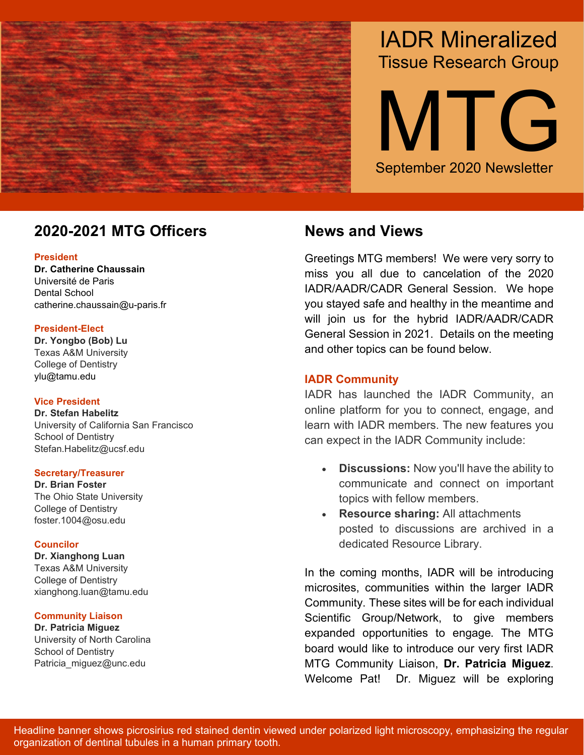

# IADR Mineralized Tissue Research Group

September 2020 Newsletter MTG

## **2020-2021 MTG Officers Mews and Views**

#### **President**

**Dr. Catherine Chaussain**  Université de Paris Dental School catherine.chaussain@u-paris.fr

#### **President-Elect**

**Dr. Yongbo (Bob) Lu** Texas A&M University College of Dentistry ylu@tamu.edu

#### **Vice President**

**Dr. Stefan Habelitz** University of California San Francisco School of Dentistry Stefan.Habelitz@ucsf.edu

#### **Secretary/Treasurer**

**Dr. Brian Foster** The Ohio State University College of Dentistry foster.1004@osu.edu

#### **Councilor**

**Dr. Xianghong Luan**  Texas A&M University College of Dentistry xianghong.luan@tamu.edu

#### **Community Liaison**

**Dr. Patricia Miguez** University of North Carolina School of Dentistry Patricia miguez@unc.edu

Greetings MTG members! We were very sorry to miss you all due to cancelation of the 2020 IADR/AADR/CADR General Session. We hope you stayed safe and healthy in the meantime and will join us for the hybrid IADR/AADR/CADR General Session in 2021. Details on the meeting and other topics can be found below.

### **IADR Community**

IADR has launched the IADR Community, an online platform for you to connect, engage, and learn with IADR members. The new features you can expect in the IADR Community include:

- **Discussions:** Now you'll have the ability to communicate and connect on important topics with fellow members.
- **Resource sharing:** All attachments posted to discussions are archived in a dedicated Resource Library.

In the coming months, IADR will be introducing microsites, communities within the larger IADR Community. These sites will be for each individual Scientific Group/Network, to give members expanded opportunities to engage. The MTG board would like to introduce our very first IADR MTG Community Liaison, **Dr. Patricia Miguez**. Welcome Pat! Dr. Miguez will be exploring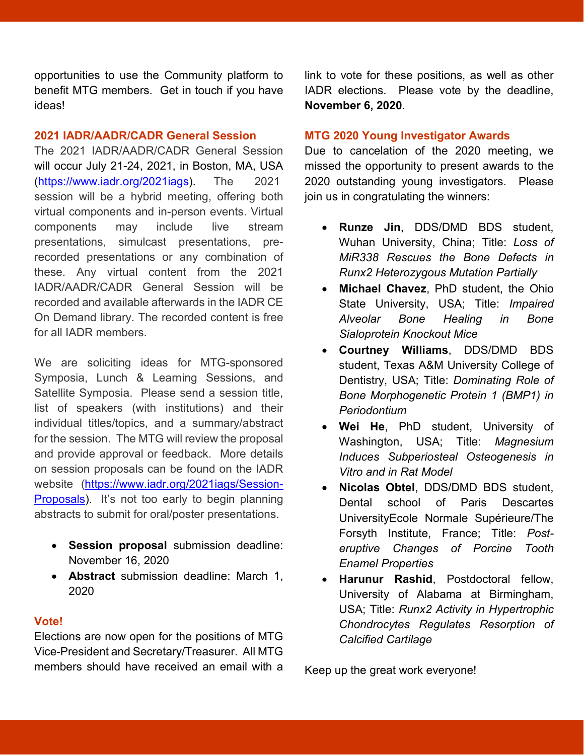opportunities to use the Community platform to benefit MTG members. Get in touch if you have ideas!

#### **2021 IADR/AADR/CADR General Session**

The 2021 IADR/AADR/CADR General Session will occur July 21-24, 2021, in Boston, MA, USA [\(https://www.iadr.org/2021iags\)](https://www.iadr.org/2021iags). The 2021 session will be a hybrid meeting, offering both virtual components and in-person events. Virtual components may include live stream presentations, simulcast presentations, prerecorded presentations or any combination of these. Any virtual content from the 2021 IADR/AADR/CADR General Session will be recorded and available afterwards in the IADR CE On Demand library. The recorded content is free for all IADR members.

We are soliciting ideas for MTG-sponsored Symposia, Lunch & Learning Sessions, and Satellite Symposia. Please send a session title, list of speakers (with institutions) and their individual titles/topics, and a summary/abstract for the session. The MTG will review the proposal and provide approval or feedback. More details on session proposals can be found on the IADR website [\(https://www.iadr.org/2021iags/Session-](https://www.iadr.org/2021iags/Session-Proposals)[Proposals\)](https://www.iadr.org/2021iags/Session-Proposals). It's not too early to begin planning abstracts to submit for oral/poster presentations.

- **Session proposal** submission deadline: November 16, 2020
- **Abstract** submission deadline: March 1, 2020

#### **Vote!**

Elections are now open for the positions of MTG Vice-President and Secretary/Treasurer. All MTG members should have received an email with a

link to vote for these positions, as well as other IADR elections. Please vote by the deadline, **November 6, 2020**.

#### **MTG 2020 Young Investigator Awards**

Due to cancelation of the 2020 meeting, we missed the opportunity to present awards to the 2020 outstanding young investigators. Please join us in congratulating the winners:

- **Runze Jin**, DDS/DMD BDS student, Wuhan University, China; Title: *Loss of MiR338 Rescues the Bone Defects in Runx2 Heterozygous Mutation Partially*
- **Michael Chavez**, PhD student, the Ohio State University, USA; Title: *Impaired Alveolar Bone Healing in Bone Sialoprotein Knockout Mice*
- **Courtney Williams**, DDS/DMD BDS student, Texas A&M University College of Dentistry, USA; Title: *Dominating Role of Bone Morphogenetic Protein 1 (BMP1) in Periodontium*
- **Wei He**, PhD student, University of Washington, USA; Title: *Magnesium Induces Subperiosteal Osteogenesis in Vitro and in Rat Model*
- **Nicolas Obtel**, DDS/DMD BDS student, Dental school of Paris Descartes UniversityEcole Normale Supérieure/The Forsyth Institute, France; Title: *Posteruptive Changes of Porcine Tooth Enamel Properties*
- **Harunur Rashid**, Postdoctoral fellow, University of Alabama at Birmingham, USA; Title: *Runx2 Activity in Hypertrophic Chondrocytes Regulates Resorption of Calcified Cartilage*

Keep up the great work everyone!